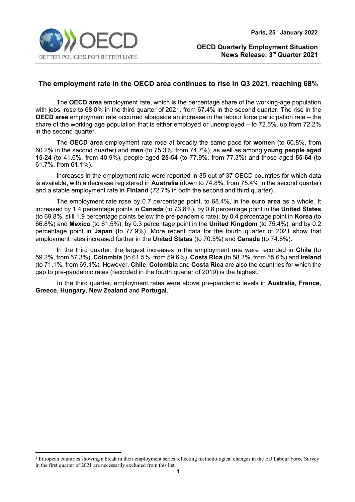

## **The employment rate in the OECD area continues to rise in Q3 2021, reaching 68%**

The **OECD area** employment rate, which is the percentage share of the working-age population with jobs, rose to 68.0% in the third quarter of 2021, from 67.4% in the second quarter. The rise in the **OECD area** employment rate occurred alongside an increase in the labour force participation rate – the share of the working-age population that is either employed or unemployed – to 72.5%, up from 72.2% in the second quarter.

The **OECD area** employment rate rose at broadly the same pace for **women** (to 60.8%, from 60.2% in the second quarter) and **men** (to 75.3%, from 74.7%), as well as among **young people aged 15-24** (to 41.6%, from 40.9%), people aged **25-54** (to 77.9%, from 77.3%) and those aged **55-64** (to 61.7%, from 61.1%).

Increases in the employment rate were reported in 35 out of 37 OECD countries for which data is available, with a decrease registered in **Australia** (down to 74.8%, from 75.4% in the second quarter) and a stable employment rate in **Finland** (72.7% in both the second and third quarter).

The employment rate rose by 0.7 percentage point, to 68.4%, in the **euro area** as a whole. It increased by 1.4 percentage points in **Canada** (to 73.8%), by 0.8 percentage point in the **United States** (to 69.8%, still 1.9 percentage points below the pre-pandemic rate), by 0.4 percentage point in **Korea** (to 66.8%) and **Mexico** (to 61.5%), by 0.3 percentage point in the **United Kingdom** (to 75.4%), and by 0.2 percentage point in **Japan** (to 77.9%). More recent data for the fourth quarter of 2021 show that employment rates increased further in the **United States** (to 70.5%) and **Canada** (to 74.8%).

In the third quarter, the largest increases in the employment rate were recorded in **Chile** (to 59.2%, from 57.3%), **Colombia** (to 61.5%, from 59.6%), **Costa Rica** (to 58.3%, from 55.6%) and **Ireland** (to 71.1%, from 69.1%). However, **Chile**, **Colombia** and **Costa Rica** are also the countries for which the gap to pre-pandemic rates (recorded in the fourth quarter of 2019) is the highest.

In the third quarter, employment rates were above pre-pandemic levels in **Australia**, **France**, **Greece**, **Hungary**, **New Zealand** and **Portugal**. [1](#page-0-0)

<span id="page-0-0"></span><sup>&</sup>lt;sup>1</sup> European countries showing a break in their employment series reflecting methodological changes in the EU Labour Force Survey in the first quarter of 2021 are necessarily excluded from this list.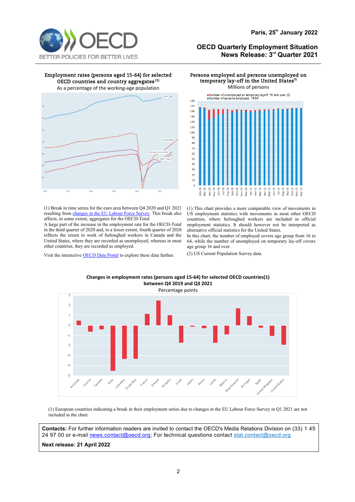

#### Employment rates (persons aged 15-64) for selected OECD countries and country aggregates **(1)**

As a percentage of the working-age population



(1) Break in time series for the euro area between Q4 2020 and Q1 2021 resulting fro[m changes in the EU Labour Force Survey.](https://ec.europa.eu/eurostat/statistics-explained/index.php?title=EU_Labour_Force_Survey_-_new_methodology_from_2021_onwards) This break also affects, to some extent, aggregates for the OECD-Total.

A large part of the increase in the employment rate for the OECD-Total in the third quarter of 2020 and, to a lesser extent, fourth quarter of 2020 reflects the return to work of furloughed workers in Canada and the United States, where they are recorded as unemployed, whereas in most other countries, they are recorded as employed.

Visit the interactiv[e OECD Data Portal](https://data.oecd.org/chart/6ALy) to explore these data further.

#### Persons employed and persons unemployed on temporary lay-off in the United States<sup>(1)</sup> Millions of persons



(1) This chart provides a more comparable view of movements in US employment statistics with movements in most other OECD countries, where furloughed workers are included in official employment statistics. It should however not be interpreted as alternative official statistics for the United States.

In this chart, the number of employed covers age group from 16 to 64, while the number of unemployed on temporary lay-off covers age group 16 and over.

(2) US Current Population Survey data.



**Changes in employment rates (persons aged 15-64) for selected OECD countries(1) between Q4 2019 and Q3 2021**

(1) European countries indicating a break in their employment series due to changes in the EU Labour Force Survey in Q1 2021 are not included in the chart.

**Contacts:** For further information readers are invited to contact the OECD's Media Relations Division on (33) 1 45 24 97 00 or e-mail [news.contact@oecd.org;](mailto:news.contact@oecd.org) For technical questions contact [stat.contact@oecd.org](mailto:stat.contact@oecd.org)

**Next release: 21 April 2022**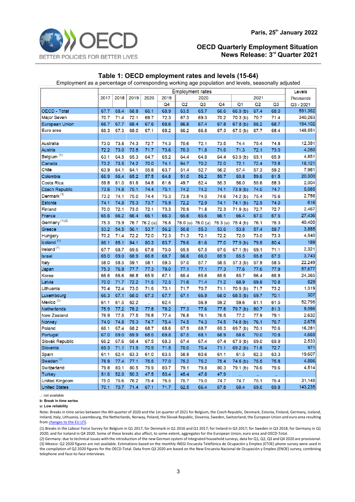

## **Table 1: OECD employment rates and levels (15-64)**

Employment as a percentage of corresponding working age population and levels, seasonally adjusted

|                           | <b>Employment rates</b> |      |      |          |                |      |                   |                   |                     |      | Levels         |                  |
|---------------------------|-------------------------|------|------|----------|----------------|------|-------------------|-------------------|---------------------|------|----------------|------------------|
|                           | 2017                    | 2018 | 2019 | 2020     | 2019           |      | 2020              |                   |                     | 2021 |                | <b>Thousands</b> |
|                           |                         |      |      |          | Q <sub>4</sub> | Q2   | Q <sub>3</sub>    | Q4                | Q <sub>1</sub>      | Q2   | Q <sub>3</sub> | Q3 - 2021        |
| <b>OECD - Total</b>       | 67.7                    | 68.4 | 68.8 | 66.1     | 68.9           | 63.5 | 65.7              | 66.6              | 66.9 (b)            | 67.4 | 68.0           | 591,362          |
| <b>Major Seven</b>        | 70.7                    | 71.4 | 72.1 | 69.7     | 72.3           | 67.3 | 69.3              | 70.2              | 70.3(b)             | 70.7 | 71.4           | 340,263          |
| <b>European Union</b>     | 66.7                    | 67.7 | 68.4 | 67.6     | 68.6           | 66.8 | 67.4              | 67.8              | 67.8 <sub>(b)</sub> | 68.2 | 68.7           | 194,102          |
| Euro area                 | 66.3                    | 67.3 | 68.0 | 67.1     | 68.2           | 66.2 | 66.8              | 67.3              | 67.0(b)             | 67.7 | 68.4           | 148,551          |
|                           |                         |      |      |          |                |      |                   |                   |                     |      |                |                  |
| <b>Australia</b>          | 73.0                    | 73.8 | 74.3 | 72.7     | 74.3           | 70.6 | 72.1              | 73.5              | 74.4                | 75.4 | 74.8           | 12,391           |
| <b>Austria</b>            | 72.2                    | 73.0 | 73.5 | 71.7     | 73.6           | 70.3 | 71.8              | 71.6              | 71.3                | 72.1 | 73.0           | 4,260            |
| Belgium <sup>(1)</sup>    | 63.1                    | 64.5 | 65.3 | 64.7     | 65.2           | 64.4 | 64.8              | 64.4              | 63.9(b)             | 65.1 | 65.9           | 4,851            |
| Canada                    | 73.2                    | 73.5 | 74.2 | 70.0     | 74.1           | 64.7 | 70.2              | 72.0              | 72.1                | 72.4 | 73.8           | 18,121           |
| <b>Chile</b>              | 63.9                    | 64.1 | 64.1 | 55.8     | 63.7           | 51.4 | 52.7              | 56.2              | 57.4                | 57.3 | 59.2           | 7,981            |
| Colombia                  | 66.9                    | 66.4 | 65.2 | 57.5     | 64.8           | 51.0 | 56.2              | 59.7              | 60.8                | 59.6 | 61.5           | 20,300           |
| <b>Costa Rica</b>         | 59.8                    | 61.0 | 61.6 | 54.8     | 61.6           | 49.7 | 52.4              | 55.3              | 56.0                | 55.6 | 58.3           | 2,004            |
| <b>Czech Republic</b>     | 73.6                    | 74.8 | 75.1 | 74.4     | 75.1           | 74.2 | 74.2              | 74.1              | 73.9(b)             | 74.0 | 74.7           | 5,085            |
| Denmark <sup>(1)</sup>    | 73.2                    | 74.1 | 75.0 | 74.4     | 75.3           | 73.9 | 74.0              | 74.6              | 74.2 (b)            | 75.4 | 75.6           | 2,788            |
| Estonia                   | 74.1                    | 74.8 | 75.3 | 73.7     | 75.9           | 72.2 | 72.9              | 74.1              | 74.1(b)             | 72.9 | 74.0           | 616              |
| <b>Finland</b>            | 70.0                    | 72.1 | 73.0 | 72.1     | 73.3           | 70.9 | 71.8              | 72.3              | 71.9 <sub>(b)</sub> | 72.7 | 72.7           | 2,467            |
| France                    | 65.6                    | 66.2 | 66.4 | 66.1     | 66.3           | 65.6 | 65.6              | 66.1              | 66.4                | 67.0 | 67.5           | 27,436           |
| Germany <sup>(1)(2)</sup> | 75.3                    | 75.9 | 76.7 | 76.2 (u) | 76.8           |      | 76.0 (u) 76.0 (u) | 76.3 (u) 75.4 (b) |                     | 76.1 | 76.3           | 40,400           |
| Greece                    | 53.2                    | 54.5 | 56.1 | 53.7     | 56.2           | 50.8 | 55.3              | 53.6              | 53.8                | 57.4 | 58.7           | 3,885            |
| Hungary                   | 70.2                    | 71.4 | 72.2 | 72.0     | 72.3           | 71.3 | 72.1              | 72.2              | 72.0                | 73.0 | 73.3           | 4,540            |
| Iceland <sup>(1)</sup>    | 86.1                    | 85.1 | 84.1 | 80.3     | 83.7           | 79.6 | 81.6              | 77.0              | 77.9(b)             | 79.5 | 80.4           | 189              |
| Ireland <sup>(1)</sup>    | 67.7                    | 68.7 | 69.6 | 67.8     | 70.0           | 65.9 | 67.5              | 67.6              | 67.1 <sub>(b)</sub> | 69.1 | 71.1           | 2,321            |
| <b>Israel</b>             | 69.0                    | 69.0 | 68.9 | 66.8     | 68.7           | 66.6 | 66.0              | 65.9              | 65.5                | 65.8 | 67.0           | 3,743            |
| Italy                     | 58.0                    | 58.5 | 59.1 | 58.1     | 59.3           | 57.0 | 57.7              | 58.5              | 57.3 (b)            | 57.9 | 58.5           | 22,249           |
| Japan                     | 75.3                    | 76.9 | 77.7 | 77.3     | 78.0           | 77.1 | 77.1              | 77.3              | 77.6                | 77.6 | 77.9           | 57,677           |
| Korea                     | 66.6                    | 66.6 | 66.8 | 65.9     | 67.1           | 65.4 | 65.6              | 65.6              | 65.7                | 66.4 | 66.8           | 24,365           |
| Latvia                    | 70.0                    | 71.7 | 72.2 | 71.5     | 72.5           | 71.6 | 71.4              | 71.2              | 68.9                | 69.8 | 70.8           | 829              |
| Lithuania                 | 70.4                    | 72.4 | 73.0 | 71.6     | 73.1           | 71.7 | 70.7              | 71.1              | 70.9(b)             | 71.7 | 73.2           | 1,319            |
| Luxembourg                | 66.3                    | 67.1 | 68.0 | 67.3     | 67.7           | 67.1 | 66.9              | 68.0              | 68.5(b)             | 69.7 | 70.1           | 307              |
| Mexico <sup>(3)</sup>     | 61.1                    | 61.5 | 62.2 | ä.       | 62.4           | ü,   | 56.9              | 59.2              | 59.6                | 61.1 | 61.5           | 52,795           |
| Netherlands               | 75.9                    | 77.2 | 78.2 | 77.8     | 78.2           | 77.3 | 77.6              | 77.8              | 79.7 (b)            | 80.7 | 81.3           | 9,095            |
| <b>New Zealand</b>        | 76.9                    | 77.5 | 77.5 | 76.8     | 77.4           | 76.8 | 76.1              | 76.5              | 77.2                | 77.9 | 79.1           | 2,632            |
| Norway                    | 74.0                    | 74.8 | 75.3 | 74.7     | 75.4           | 74.5 | 74.3              | 74.5              | 74.8(b)             | 76.1 | 76.7           | 2,678            |
| Poland                    | 66.1                    | 67.4 | 68.2 | 68.7     | 68.6           | 67.9 | 68.7              | 69.3              | 69.7 (b)            | 70.1 | 70.6           | 16,281           |
| Portugal                  | 67.0                    | 69.0 | 69.9 | 68.5     | 69.8           | 67.5 | 68.1              | 68.9              | 68.6                | 70.0 | 70.8           | 4,665            |
| <b>Slovak Republic</b>    | 66.2                    | 67.6 | 68.4 | 67.5     | 68.3           | 67.4 | 67.4              | 67.4              | 67.9(b)             | 69.0 | 69.9           | 2,533            |
| Slovenia                  | 69.3                    | 71.1 | 71.9 | 70.9     | 71.5           | 70.0 | 70.4              | 71.1              | 69.2(b)             | 71.8 | 72.7           | 971              |
| Spain                     | 61.1                    | 62.4 | 63.3 | 61.0     | 63.5           | 58.9 | 60.6              | 61.1              | 61.5                | 62.3 | 63.3           | 19,607           |
| Sweden <sup>(1)</sup>     | 76.9                    | 77.4 | 77.1 | 75.5     | 77.0           | 75.2 | 75.2              | 75.4              | 74.6(b)             | 75.5 | 75.8           | 4,866            |
| Switzerland               | 79.8                    | 80.1 | 80.5 | 79.9     | 80.7           | 79.1 | 79.8              | 80.3              | 79.1 (b)            | 78.6 | 79.6           | 4,514            |
| <b>Turkey</b>             | 51.6                    | 52.0 | 50.3 | 47.5     | 50.4           | 45.4 | 47.8              | 47.9              |                     | ä.   |                |                  |
| <b>United Kingdom</b>     | 75.0                    | 75.6 | 76.2 | 75.4     | 76.5           | 75.7 | 75.0              | 74.7              | 74.7                | 75.1 | 75.4           | 31,145           |
| <b>United States</b>      | 70.1                    | 70.7 | 71.4 | 67.1     | 71.7           | 62.5 | 66.4              | 67.8              | 68.4                | 69.0 | 69.8           | 143,235          |

..: not available

**b: Break in time series**

**u: Low reliability**

Note: Breaks in time series between the 4th quarter of 2020 and the 1st quarter of 2021 for Belgium, the Czech Republic, Denmark, Estonia, Finland, Germany, Iceland, Ireland, Italy, Lithuania, Luxembourg, the Netherlands, Norway, Poland, the Slovak Republic, Slovenia, Sweden, Switzerland, the European Union and euro area resulting fro[m changes to the EU LFS.](https://ec.europa.eu/eurostat/statistics-explained/index.php?title=EU_Labour_Force_Survey_-_new_methodology_from_2021_onwards) 

(1) Breaks in the Labour Force Survey for Belgium in Q1 2017; for Denmark in Q1 2016 and Q1 2017; for Ireland in Q3 2017; for Sweden in Q3 2018; for Germany in Q1 2020; and for Iceland in Q4 2020. Some of these breaks also affect, to some extent, aggregates for the European Union, euro area and OECD-Total.

(2) Germany: due to technical issues with the introduction of the new German system of integrated household surveys, data for Q1, Q2, Q3 and Q4 2020 are provisional. (3) Mexico: Q2 2020 figures are not available. Estimations based on the monthly INEGI Encuesta Telefónica de Ocupación y Empleo (ETOE) phone survey were used in the compilation of Q2 2020 figures for the OECD-Total. Data from Q3 2020 are based on the New Encuesta Nacional de Ocupación y Empleo (ENOE) survey, combining telephone and face-to-face interviews.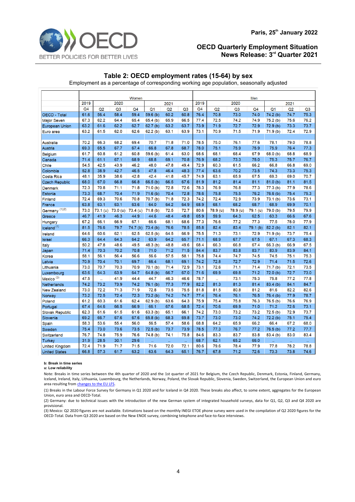

### **Table 2: OECD employment rates (15-64) by sex**

Employment as a percentage of corresponding working age population, seasonally adjusted

|                           | Women                |          |                |                     |                |      |                      | Men  |                      |                |                |                     |                |                |
|---------------------------|----------------------|----------|----------------|---------------------|----------------|------|----------------------|------|----------------------|----------------|----------------|---------------------|----------------|----------------|
|                           | 2019<br>2020<br>2021 |          |                |                     |                |      | 2019<br>2020<br>2021 |      |                      |                |                |                     |                |                |
|                           | Q <sub>4</sub>       | Q2       | Q <sub>3</sub> | Q <sub>4</sub>      | Q <sub>1</sub> | Q2   | Q <sub>3</sub>       | Q4   | Q2                   | Q <sub>3</sub> | Q <sub>4</sub> | Q <sub>1</sub>      | Q <sub>2</sub> | Q <sub>3</sub> |
| <b>OECD - Total</b>       | 61.6                 | 56.4     | 58.4           | 59.4                | 59.6(b)        | 60.2 | 60.8                 | 76.4 | 70.8                 | 73.0           | 74.0           | 74.2 (b)            | 74.7           | 75.3           |
| <b>Major Seven</b>        | 67.3                 | 62.2     | 64.4           | 65.4                | 65.4(b)        | 65.9 | 66.5                 | 77.4 | 72.5                 | 74.2           | 74.9           | 75.2(b)             | 75.6           | 76.2           |
| <b>European Union</b>     | 63.2                 | 61.6     | 62.2           | 62.7                | 62.7(b)        | 63.2 | 63.7                 | 73.9 | 71.9                 | 72.7           | 72.9           | 72.9(b)             | 73.3           | 73.7           |
| Euro area                 | 63.2                 | 61.5     | 62.0           | 62.6                | 62.2(b)        | 63.1 | 63.9                 | 73.1 | 70.9                 | 71.5           | 71.9           | 71.9 <sub>(b)</sub> | 72.4           | 72.9           |
|                           |                      |          |                |                     |                |      |                      |      |                      |                |                |                     |                |                |
| <b>Australia</b>          | 70.2                 | 66.3     | 68.2           | 69.4                | 70.7           | 71.8 | 71.0                 | 78.5 | 75.0                 | 76.1           | 77.6           | 78.1                | 79.0           | 78.8           |
| Austria                   | 69.3                 | 65.5     | 67.7           | 67.4                | 66.8           | 67.8 | 68.7                 | 78.0 | 75.1                 | 75.9           | 75.9           | 75.9                | 76.4           | 77.3           |
| <b>Belgium</b>            | 61.7                 | 60.8     | 61.2           | 60.8                | 59.6(b)        | 61.4 | 63.0                 | 68.6 | 68.1                 | 68.4           | 67.9           | 68.0(b)             | 68.8           | 68.9           |
| Canada                    | 71.4                 | 61.1     | 67.1           | 68.9                | 68.8           | 69.1 | 70.8                 | 76.9 | 68.2                 | 73.3           | 75.0           | 75.3                | 75.7           | 76.7           |
| Chile                     | 54.5                 | 42.5     | 43.9           | 46.2                | 48.0           | 47.8 | 49.4                 | 72.9 | 60.3                 | 61.5           | 66.2           | 66.8                | 66.8           | 69.0           |
| Colombia                  | 52.8                 | 38.9     | 42.7           | 46.5                | 47.8           | 46.4 | 48.3                 | 77.4 | 63.6                 | 70.2           | 73.5           | 74.3                | 73.3           | 75.3           |
| Costa Rica                | 48.1                 | 35.9     | 38.6           | 42.8                | 42.4           | 41.8 | 45.7                 | 74.9 | 63.1                 | 65.9           | 67.5           | 69.3                | 69.0           | 70.7           |
| <b>Czech Republic</b>     | 68.0                 | 67.0     | 66.8           | 66.8                | 66.5(b)        | 66.5 | 67.6                 | 81.9 | 81.2                 | 81.4           | 81.1           | 81.0(b)             | 81.1           | 81.5           |
| <b>Denmark</b>            | 72.3                 | 70.8     | 71.1           | 71.8                | 71.0(b)        | 72.8 | 72.6                 | 78.3 | 76.9                 | 76.8           | 77.3           | 77.3 <sub>(b)</sub> | 77.9           | 78.6           |
| Estonia                   | 73.3                 | 68.7     | 70.4           | 71.9                | 71.6(b)        | 70.4 | 72.8                 | 78.6 | 75.8                 | 75.5           | 76.2           | 76.6(b)             | 75.4           | 75.3           |
| Finland                   | 72.4                 | 69.3     | 70.6           | 70.8                | 70.7 (b)       | 71.8 | 72.3                 | 74.2 | 72.4                 | 72.9           | 73.9           | 73.1 <sub>(b)</sub> | 73.6           | 73.1           |
| France                    | 63.8                 | 63.1     | 63.1           | 63.6                | 64.0           | 64.2 | 64.9                 | 68.9 | 68.1                 | 68.2           | 68.7           | 68.9                | 69.9           | 70.1           |
| Germany <sup>(1)(2)</sup> | 73.0                 | 73.1 (u) | 73.0 (u)       | 73.4 (u)            | 71.8(b)        | 72.5 | 72.7                 | 80.6 | 78.9 (u)             | 78.9 (u)       | 79.1 (u)       | 79.0 (b)            | 79.5           | 79.9           |
| Greece                    | 46.7                 | 41.9     | 46.3           | 44.9                | 44.6           | 48.4 | 49.8                 | 65.9 | 59.9                 | 64.3           | 62.5           | 63.3                | 66.6           | 67.6           |
| Hungary                   | 67.2                 | 66.1     | 66.9           | 67.1                | 66.6           | 68.1 | 68.6                 | 77.3 | 76.6                 | 77.2           | 77.3           | 77.5                | 78.0           | 77.9           |
| Iceland <sup>(1)</sup>    | 81.5                 | 76.6     | 79.7           | 74.7 <sub>(b)</sub> | 73.4(b)        | 76.6 | 78.5                 | 85.8 | 82.4                 | 83.4           | 79.1 (b)       | 82.2(b)             | 82.1           | 82.1           |
| Ireland                   | 64.6                 | 60.6     | 62.1           | 62.5                | 62.5(b)        | 64.5 | 66.9                 | 75.5 | 71.3                 | 73.1           | 72.9           | 71.9 <sub>(b)</sub> | 73.7           | 75.4           |
| <b>Israel</b>             | 66.3                 | 64.4     | 64.3           | 64.2                | 63.9           | 64.2 | 65.7                 | 71.1 | 68.9                 | 67.7           | 67.5           | 67.1                | 67.3           | 68.3           |
| Italy                     | 50.2                 | 47.8     | 48.6           | 49.5                | 48.3 (b)       | 48.8 | 49.6                 | 68.4 | 66.3                 | 66.8           | 67.4           | 66.3(b)             | 66.9           | 67.5           |
| Japan                     | 71.4                 | 70.3     | 70.2           | 70.8                | 71.0           | 71.2 | 71.5                 | 84.4 | 83.7                 | 83.8           | 83.7           | 83.9                | 83.9           | 84.1           |
| Korea                     | 58.1                 | 56.1     | 56.4           | 56.6                | 56.6           | 57.5 | 58.1                 | 75.8 | 74.4                 | 74.7           | 74.5           | 74.5                | 75.1           | 75.3           |
| Latvia                    | 70.9                 | 70.4     | 70.1           | 69.7                | 66.4           | 68.1 | 69.1                 | 74.2 | 72.8                 | 72.7           | 72.9           | 71.4                | 71.5           | 72.6           |
| Lithuania                 | 73.0                 | 70.7     | 70.3           | 70.9                | 70.1(b)        | 71.4 | 72.9                 | 73.1 | 72.6                 | 71.1           | 71.4           | 71.7 <sub>(b)</sub> | 72.1           | 73.5           |
| Luxembourg                | 63.6                 | 64.3     | 63.9           | 64.7                | 64.8(b)        | 66.7 | 67.0                 | 71.6 | 69.9                 | 69.8           | 71.2           | 72.0 (b)            | 72.7           | 73.0           |
| Mexico <sup>(3)</sup>     | 47.5                 | ä.       | 41.9           | 44.4                | 44.7           | 46.3 | 46.6                 | 78.7 | $\ddot{\phantom{a}}$ | 73.1           | 75.3           | 75.8                | 77.2           | 77.8           |
| Netherlands               | 74.2                 | 73.2     | 73.9           | 74.2                | 76.1(b)        | 77.3 | 77.9                 | 82.2 | 81.3                 | 81.3           | 81.4           | 83.4 (b)            | 84.1           | 84.7           |
| <b>New Zealand</b>        | 73.0                 | 72.2     | 71.3           | 71.9                | 72.8           | 73.5 | 75.5                 | 81.8 | 81.5                 | 80.8           | 81.2           | 81.6                | 82.2           | 82.6           |
| Norway                    | 73.2                 | 72.5     | 72.4           | 72.3                | 73.2(b)        | 74.2 | 74.7                 | 77.4 | 76.4                 | 76.1           | 76.5           | 76.4 (b)            | 77.9           | 78.7           |
| Poland                    | 61.2                 | 60.3     | 61.6           | 62.4                | 62.9(b)        | 63.6 | 64.3                 | 75.9 | 75.4                 | 75.8           | 76.3           | 76.5(b)             | 76.6           | 76.9           |
| Portugal                  | 67.4                 | 64.6     | 66.5           | 66.9                | 66.1           | 67.6 | 68.5                 | 72.4 | 70.6                 | 69.9           | 71.0           | 71.2                | 72.6           | 73.1           |
| <b>Slovak Republic</b>    | 62.3                 | 61.6     | 61.5           | 61.6                | 63.3(b)        | 65.1 | 66.1                 | 74.2 | 73.0                 | 73.2           | 73.2           | 72.5(b)             | 72.9           | 73.7           |
| Slovenia                  | 69.2                 | 66.7     | 67.6           | 67.6                | 65.8(b)        | 68.3 | 69.8                 | 73.7 | 73.0                 | 73.0           | 74.2           | 72.2(b)             | 75.1           | 75.4           |
| Spain                     | 58.3                 | 53.6     | 55.4           | 56.0                | 56.5           | 57.4 | 58.6                 | 68.8 | 64.2                 | 65.9           | 66.2           | 66.4                | 67.2           | 68.0           |
| Sweden                    | 75.4                 | 73.0     | 73.6           | 73.5                | 72.5(b)        | 73.7 | 73.9                 | 78.5 | 77.3                 | 76.7           | 77.2           | 76.5 (b)            | 77.2           | 77.7           |
| <b>Switzerland</b>        | 76.7                 | 74.8     | 75.9           | 76.6                | 74.8 (b)       | 74.1 | 75.8                 | 84.6 | 83.3                 | 83.7           | 83.8           | 83.4 (b)            | 83.0           | 83.4           |
| <b>Turkey</b>             | 31.9                 | 28.5     | 30.1           | 29.6                | ä,             | ä,   | x.                   | 68.7 | 62.1                 | 65.2           | 66.0           | ä,                  | ä,             | ä,             |
| <b>United Kingdom</b>     | 72.4                 | 71.9     | 71.7           | 71.5                | 71.6           | 72.0 | 72.1                 | 80.6 | 79.6                 | 78.4           | 77.9           | 77.8                | 78.2           | 78.8           |
| <b>United States</b>      | 66.8                 | 57.3     | 61.7           | 63.2                | 63.6           | 64.3 | 65.1                 | 76.7 | 67.8                 | 71.2           | 72.6           | 73.3                | 73.8           | 74.6           |

#### **b: Break in time series**

**u: Low reliability**

Note: Breaks in time series between the 4th quarter of 2020 and the 1st quarter of 2021 for Belgium, the Czech Republic, Denmark, Estonia, Finland, Germany, Iceland, Ireland, Italy, Lithuania, Luxembourg, the Netherlands, Norway, Poland, the Slovak Republic, Slovenia, Sweden, Switzerland, the European Union and euro area resulting from changes to the EU LFS.

(1) Breaks in the Labour Force Survey for Germany in Q1 2020 and for Iceland in Q4 2020. These breaks also affect, to some extent, aggregates for the European Union, euro area and OECD-Total.

(2) Germany: due to technical issues with the introduction of the new German system of integrated household surveys, data for Q1, Q2, Q3 and Q4 2020 are provisional.

(3) Mexico: Q2 2020 figures are not available. Estimations based on the monthly INEGI ETOE phone survey were used in the compilation of Q2 2020 figures for the OECD-Total. Data from Q3 2020 are based on the New ENOE survey, combining telephone and face-to-face interviews.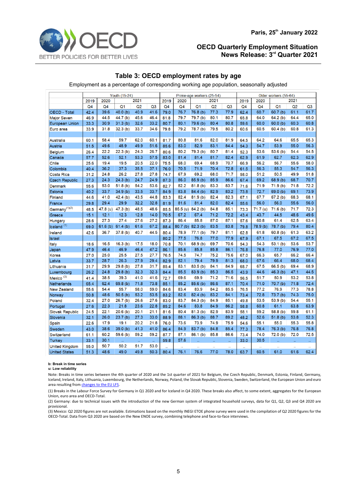

## **Table 3: OECD employment rates by age**

Employment as a percentage of corresponding working age population, seasonally adjusted

|                           | Youth (15-24)  |         |                     |                |                | Prime-age workers (25-54) |                |                     |      |                |                      | Older workers (55-64) |                     |                |                |  |
|---------------------------|----------------|---------|---------------------|----------------|----------------|---------------------------|----------------|---------------------|------|----------------|----------------------|-----------------------|---------------------|----------------|----------------|--|
|                           | 2019           | 2020    |                     | 2021           |                | 2019                      | 2021<br>2020   |                     |      |                | 2020<br>2021<br>2019 |                       |                     |                |                |  |
|                           | Q <sub>4</sub> | Q4      | Q <sub>1</sub>      | Q2             | Q <sub>3</sub> | Q <sub>4</sub>            | Q <sub>4</sub> | Q <sub>1</sub>      | Q2   | Q <sub>3</sub> | Q <sub>4</sub>       | Q <sub>4</sub>        | Q <sub>1</sub>      | Q <sub>2</sub> | Q <sub>3</sub> |  |
| OECD - Total              | 42.4           | 39.6    | 40.0(b)             | 40.9           | 41.6           | 79.0                      | 76.7           | 76.8 (b)            | 77.3 | 77.9           | 62.4                 | 60.7                  | 60.7(b)             | 61.1           | 61.7           |  |
| <b>Major Seven</b>        | 46.9           | 44.5    | 44.7 (b)            | 45.6           | 46.4           | 81.8                      | 79.7           | 79.7 (b)            | 80.1 | 80.7           | 65.8                 | 64.0                  | 64.2(b)             | 64.4           | 65.0           |  |
| <b>European Union</b>     | 33.3           | 30.9    | 31.3(b)             | 32.6           | 33.2           | 80.7                      | 80.1           | 79.6(b)             | 80.4 | 80.8           | 59.6                 | 60.0                  | 60.0(b)             | 60.3           | 60.8           |  |
| Euro area                 | 33.9           | 31.8    | 32.3(b)             | 33.7           | 34.6           | 79.8                      | 79.2           | 78.7 <sub>(b)</sub> | 79.5 | 80.2           | 60.6                 | 60.5                  | 60.4(b)             | 60.8           | 61.3           |  |
|                           |                |         |                     |                |                |                           |                |                     |      |                |                      |                       |                     |                |                |  |
| <b>Australia</b>          | 60.1           | 58.4    | 59.7                | 62.0           | 60.1           | 81.7                      | 80.8           | 81.6                | 82.0 | 81.9           | 64.5                 | 64.2                  | 64.6                | 65.5           | 65.3           |  |
| <b>Austria</b>            | 51.5           | 49.6    | 48.9                | 49.9           | 51.6           | 85.6                      | 83.0           | 82.9                | 83.1 | 84.4           | 54.3                 | 54.7                  | 53.9                | 55.0           | 56.3           |  |
| <b>Belgium</b>            | 26.4           | 22.2    | 22.3(b)             | 24.3           | 26.7           | 80.6                      | 80.2           | 79.3 (b)            | 80.7 | 81.4           | 52.3                 | 53.6                  | 53.6 (b)            | 54.4           | 54.5           |  |
| Canada                    | 57.7           | 52.6    | 52.1                | 53.3           | 57.5           | 83.0                      | 81.4           | 81.4                | 81.7 | 82.4           | 62.9                 | 61.9                  | 62.7                | 62.3           | 62.9           |  |
| Chile                     | 25.6           | 19.4    | 19.5                | 20.5           | 22.0           | 75.5                      | 68.0           | 69.4                | 68.9 | 70.7           | 66.9                 | 56.2                  | 56.7                | 55.6           | 58.0           |  |
| Colombia                  | 40.4           | 36.2    | 37.3                | 35.5           | 37.1           | 76.0                      | 70.5           | 71.9                | 70.4 | 72.8           | 61.5                 | 56.3                  | 55.3                | 54.7           | 56.3           |  |
| Costa Rica                | 31.2           | 24.8    | 26.2                | 27.8           | 27.8           | 74.7                      | 67.9           | 69.2                | 68.0 | 71.7           | 58.0                 | 51.2                  | 50.5                | 49.9           | 51.8           |  |
| <b>Czech Republic</b>     | 27.3           | 24.3    | 24.3(b)             | 24.7           | 24.9           | 87.3                      | 86.0           | 85.9(b)             | 85.9 | 86.6           | 67.4                 | 69.2                  | 68.9(b)             | 68.7           | 70.7           |  |
| <b>Denmark</b>            | 55.6           | 53.0    | 51.8(b)             | 54.2           | 53.6           | 82.7                      | 82.2           | 81.8(b)             | 83.3 | 83.7           | 71.6                 | 71.9                  | 71.9(b)             | 71.8           | 72.2           |  |
| <b>Estonia</b>            | 40.2           | 33.7    | 34.9(b)             | 33.5           | 33.7           | 84.9                      | 83.8           | 84.4(b)             | 82.9 | 83.2           | 73.8                 | 72.7                  | 69.0(b)             | 69.1           | 73.9           |  |
| <b>Finland</b>            | 44.6           | 41.0    | 42.4(b)             | 43.5           | 44.8           | 83.3                      | 82.4           | 81.9(b)             | 82.4 | 82.3           | 67.1                 | 67.7                  | 67.2(b)             | 68.3           | 68.1           |  |
| France                    | 29.8           | 29.4    | 29.9                | 32.2           | 32.8           | 81.9                      | 81.6           | 81.4                | 82.0 | 82.4           | 55.6                 | 56.0                  | 56.0                | 55.6           | 56.0           |  |
| Germany <sup>(1)(2)</sup> | 48.5           |         | 47.8 (u) 47.3 (b)   | 48.5           | 48.6           | 85.5                      |                | 85.5 (u) 84.2 (b)   | 84.8 | 85.1           | 73.3                 | 71.7 (u)              | 71.6(b)             | 71.7           | 72.3           |  |
| Greece                    | 15.1           | 12.1    | 12.3                | 12.8           | 14.0           | 70.5                      | 67.2           | 67.4                | 71.2 | 72.2           | 43.4                 | 43.7                  | 44.5                | 48.6           | 49.6           |  |
| Hungary                   | 28.6           | 27.3    | 27.4                | 27.6           | 27.2           | 87.3                      | 86.4           | 85.8                | 87.0 | 87.1           | 57.6                 | 60.8                  | 61.4                | 62.5           | 63.4           |  |
| Iceland <sup>(1)</sup>    | 69.0           | 61.6(b) | 61.4(b)             | 61.6           | 67.2           | 88.4                      | 80.7(b)        | 82.3(b)             | 83.5 | 83.8           | 79.8                 | 78.9(b)               | 78.7 <sub>(b)</sub> | 79.4           | 80.4           |  |
| Ireland                   | 42.6           | 36.7    | 37.8 (b)            | 40.7           | 44.5           | 80.4                      | 78.9           | 77.1 <sub>(b)</sub> | 79.7 | 81.1           | 62.8                 | 61.8                  | 60.8(b)             | 61.3           | 63.2           |  |
| Israel                    |                |         |                     |                |                | 80.2                      | 77.5           | 76.8                | 77.0 | 77.9           | 67.9                 | 67.1                  | 67.5                | 67.2           | 67.5           |  |
| Italy                     | 18.6           | 16.5    | 16.3(b)             | 17.5           | 18.0           | 70.8                      | 70.1           | 68.9(b)             | 69.7 | 70.6           | 54.3                 | 54.3                  | 53.1(b)             | 53.6           | 53.7           |  |
| Japan                     | 47.9           | 46.4    | 46.9                | 46.4           | 47.2           | 86.1                      | 85.6           | 85.8                | 85.8 | 86.1           | 76.8                 | 76.8                  | 77.0                | 76.9           | 77.0           |  |
| Korea                     | 27.0           | 25.0    | 25.5                | 27.5           | 27.7           | 76.5                      | 74.5           | 74.7                | 75.2 | 75.6           | 67.0                 | 66.3                  | 65.7                | 66.2           | 66.4           |  |
| Latvia                    | 33.7           | 28.7    | 26.3                | 27.9           | 29.4           | 82.9                      | 82.1           | 79.4                | 79.9 | 81.3           | 68.0                 | 67.6                  | 66.4                | 68.0           | 68.4           |  |
| Lithuania                 | 31.7           | 29.9    | 29.8(b)             | 27.8           | 31.7           | 85.4                      | 83.1           | 83.5(h)             | 84.1 | 84.9           | 68.7                 | 67.5                  | 66.5(b)             | 69.4           | 68.9           |  |
| Luxembourg                | 26.2           | 24.8    | 29.8(b)             | 32.3           | 32.3           | 84.4                      | 85.5           | 83.9(b)             | 85.3 | 86.5           | 43.9                 | 44.6                  | 46.3(b)             | 47.1           | 44.5           |  |
| Mexico <sup>(3)</sup>     | 41.4           | 38.5    | 39.3                | 41.0           | 41.6           | 72.7                      | 69.6           | 69.9                | 71.2 | 71.6           | 56.5                 | 51.7                  | 50.9                | 53.2           | 53.8           |  |
| Netherlands               | 65.4           | 62.4    | 69.8(b)             | 71.8           | 73.8           | 85.1                      | 85.2           | 85.6(b)             | 86.6 | 87.1           | 70.4                 | 71.0                  | 70.7(b)             | 71.8           | 72.4           |  |
| <b>New Zealand</b>        | 55.6           | 54.4    | 55.7                | 58.0           | 59.0           | 84.6                      | 83.4           | 83.9                | 84.2 | 85.5           | 76.5                 | 77.2                  | 76.9                | 77.3           | 78.8           |  |
| Norway                    | 50.8           | 48.6    | 50.5(b)             | 53.2           | 53.5           | 83.2                      | 82.6           | 82.4(b)             | 83.2 | 84.1           | 73.4                 | 72.8                  | 73.7(b)             | 74.3           | 75.0           |  |
| Poland                    | 32.4           | 27.0    | 26.7 <sub>(b)</sub> | 26.6           | 27.6           | 83.0                      | 83.7           | 84.3(b)             | 84.9 | 85.1           | 49.8                 | 53.5                  | 53.9(b)             | 54.4           | 55.1           |  |
| Portugal                  | 27.6           | 22.3    | 21.8                | 23.6           | 22.8           | 85.2                      | 84.6           | 83.8                | 84.9 | 86.2           | 58.8                 | 60.8                  | 61.1                | 63.8           | 63.9           |  |
| <b>Slovak Republic</b>    | 24.5           | 22.1    | 20.6(b)             | 20.1           | 21.1           | 81.6                      | 80.4           | 81.3(b)             | 82.9 | 83.9           | 58.1                 | 59.2                  | 58.8(b)             | 59.8           | 61.1           |  |
| Slovenia                  | 32.1           | 26.0    | 23.7(b)             | 27.3           | 33.0           | 88.9                      | 88.1           | 86.3(b)             | 88.7 | 89.2           | 48.2                 | 52.6                  | 51.8(b)             | 53.8           | 52.3           |  |
| Spain                     | 22.6           | 17.9    | 19.1                | 20.2           | 21.8           | 76.0                      | 73.6           | 73.9                | 74.9 | 75.9           | 54.6                 | 55.1                  | 55.0                | 55.3           | 55.8           |  |
| Sweden                    | 43.0           | 38.6    | 39.0(b)             | 41.3           | 41.0           | 86.4                      | 84.9           | 83.7 (b)            | 84.8 | 85.4           | 77.3                 | 78.4                  | 76.3(b)             | 76.8           | 76.8           |  |
| Switzerland               | 61.1           | 60.2    | 59.6 (b)            | 59.2           | 59.2           | 87.7                      | 87.1           | 86.1 (b)            | 85.8 | 86.6           | 73.4                 | 74.0                  | 72.0 (b)            | 72.0           | 72.5           |  |
| <b>Turkey</b>             | 33.1           | 30.1    | ü.                  | $\bar{\alpha}$ | u,             | 59.8                      | 57.6           | ÷.                  | ü.   | W.             | 33.0                 | 30.5                  |                     | u.             | $\ddotsc$      |  |
| United Kingdom            | 55.0           | 50.7    | 50.2                | 51.7           | 53.0           |                           | ä,             | ä,                  | ă,   | ä.             | $\ddot{\phantom{a}}$ | u,                    |                     | ä,             | ä,             |  |
| <b>United States</b>      | 51.3           | 48.6    | 49.0                | 49.8           | 50.3           | 80.4                      | 76.1           | 76.6                | 77.0 | 78.0           | 63.7                 | 60.5                  | 61.0                | 61.6           | 62.4           |  |

#### **b: Break in time series**

**u: Low reliability**

Note: Breaks in time series between the 4th quarter of 2020 and the 1st quarter of 2021 for Belgium, the Czech Republic, Denmark, Estonia, Finland, Germany, Iceland, Ireland, Italy, Lithuania, Luxembourg, the Netherlands, Norway, Poland, the Slovak Republic, Slovenia, Sweden, Switzerland, the European Union and euro area resulting from changes to the EU LFS

(1) Breaks in the Labour Force Survey for Germany in Q1 2020 and for Iceland in Q4 2020. These breaks also affect, to some extent, aggregates for the European Union, euro area and OECD-Total.

(2) Germany: due to technical issues with the introduction of the new German system of integrated household surveys, data for Q1, Q2, Q3 and Q4 2020 are provisional.

(3) Mexico: Q2 2020 figures are not available. Estimations based on the monthly INEGI ETOE phone survey were used in the compilation of Q2 2020 figures for the OECD-Total. Data from Q3 2020 are based on the New ENOE survey, combining telephone and face-to-face interviews.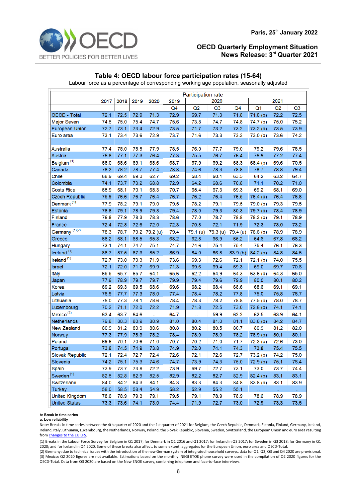

# **Table 4: OECD labour force participation rates (15-64)**

Labour force as a percentage of corresponding working age population, seasonally adjusted

|                           | <b>Participation rate</b> |                                      |      |          |                |          |          |                |                     |      |                |
|---------------------------|---------------------------|--------------------------------------|------|----------|----------------|----------|----------|----------------|---------------------|------|----------------|
|                           | 2017                      | 2020<br>2018<br>2019<br>2020<br>2019 |      |          |                | 2021     |          |                |                     |      |                |
|                           |                           |                                      |      |          | Q <sub>4</sub> | Q2       | Q3       | Q <sub>4</sub> | Q <sub>1</sub>      | Q2   | Q <sub>3</sub> |
| OECD - Total              | 72.1                      | 72.5                                 | 72.9 | 71.3     | 72.9           | 69.7     | 71.3     | 71.8           | 71.8(b)             | 72.2 | 72.5           |
| <b>Major Seven</b>        | 74.5                      | 75.0                                 | 75.4 | 74.7     | 75.6           | 73.8     | 74.7     | 74.8           | 74.7 (b)            | 75.0 | 75.2           |
| <b>European Union</b>     | 72.7                      | 73.1                                 | 73.4 | 72.9     | 73.5           | 71.7     | 73.2     | 73.2           | 73.2(b)             | 73.5 | 73.9           |
| Euro area                 | 73.1                      | 73.4                                 | 73.6 | 72.9     | 73.7           | 71.6     | 73.3     | 73.2           | 73.0(b)             | 73.6 | 74.2           |
|                           |                           |                                      |      |          |                |          |          |                |                     |      |                |
| Australia                 | 77.4                      | 78.0                                 | 78.5 | 77.9     | 78.5           | 76.0     | 77.7     | 79.0           | 79.2                | 79.6 | 78.5           |
| Austria                   | 76.8                      | 77.1                                 | 77.3 | 76.4     | 77.3           | 75.5     | 76.7     | 76.4           | 76.9                | 77.2 | 77.4           |
| Belgium <sup>(1)</sup>    | 68.0                      | 68.6                                 | 69.1 | 68.6     | 68.7           | 67.9     | 69.2     | 68.3           | 68.4 (b)            | 69.6 | 70.5           |
| Canada                    | 78.2                      | 78.2                                 | 78.7 | 77.4     | 78.8           | 74.6     | 78.3     | 78.8           | 78.7                | 78.8 | 79.4           |
| Chile                     | 68.9                      | 69.4                                 | 69.3 | 62.7     | 69.2           | 58.4     | 60.1     | 63.5           | 64.2                | 63.2 | 64.7           |
| Colombia                  | 74.1                      | 73.7                                 | 73.2 | 68.8     | 72.9           | 64.2     | 68.6     | 70.8           | 71.1                | 70.2 | 71.0           |
| Costa Rica                | 65.9                      | 68.1                                 | 70.1 | 68.3     | 70.7           | 65.4     | 67.3     | 69.3           | 69.2                | 68.1 | 69.0           |
| <b>Czech Republic</b>     | 75.9                      | 76.6                                 | 76.7 | 76.4     | 76.7           | 76.2     | 76.4     | 76.5           | 76.4(b)             | 76.4 | 76.8           |
| Denmark <sup>(1)</sup>    | 77.9                      | 78.2                                 | 79.1 | 79.0     | 79.5           | 78.2     | 79.1     | 79.5           | 79.0 (b)            | 79.3 | 79.5           |
| Estonia                   | 78.8                      | 79.1                                 | 78.9 | 79.3     | 79.4           | 78.0     | 79.3     | 80.3           | 79.7 (b)            | 78.4 | 78.9           |
| Finland                   | 76.8                      | 77.9                                 | 78.3 | 78.3     | 78.6           | 77.0     | 78.7     | 78.8           | 78.2 (b)            | 79.1 | 78.9           |
| France                    | 72.4                      | 72.8                                 | 72.6 | 72.0     | 72.3           | 70.8     | 72.1     | 71.9           | 72.3                | 73.0 | 73.2           |
| Germany <sup>(1)(2)</sup> | 78.3                      | 78.7                                 | 79.2 | 79.2 (u) | 79.4           | 79.1 (u) | 79.3 (u) | 79.4 (u)       | 78.6(b)             | 78.9 | 78.9           |
| Greece                    | 68.2                      | 68.1                                 | 68.5 | 65.3     | 68.2           | 62.8     | 66.9     | 65.2           | 64.6                | 67.8 | 68.2           |
| <b>Hungary</b>            | 73.1                      | 74.1                                 | 74.7 | 75.1     | 74.7           | 74.6     | 75.4     | 75.4           | 75.4                | 76.1 | 76.3           |
| Iceland <sup>(1)</sup>    | 88.7                      | 87.5                                 | 87.3 | 85.2     | 86.9           | 84.0     | 86.8     | 83.9 (b)       | 84.2(b)             | 84.8 | 84.5           |
| Ireland <sup>(1)</sup>    | 72.7                      | 73.0                                 | 73.3 | 71.9     | 73.6           | 69.3     | 72.6     | 72.1           | 72.1(b)             | 74.0 | 75.5           |
| Israel                    | 72.1                      | 72.0                                 | 71.7 | 69.9     | 71.3           | 69.6     | 69.4     | 69.3           | 69.0                | 69.7 | 70.6           |
| <b>Italy</b>              | 65.5                      | 65.7                                 | 65.7 | 64.1     | 65.6           | 62.2     | 64.9     | 64.3           | 63.6(b)             | 64.3 | 65.0           |
| Japan                     | 77.6                      | 78.9                                 | 79.7 | 79.7     | 79.9           | 79.4     | 79.6     | 79.9           | 80.0                | 80.1 | 80.2           |
| Korea                     | 69.2                      | 69.3                                 | 69.5 | 68.6     | 69.6           | 68.2     | 68.4     | 68.6           | 68.6                | 69.1 | 69.1           |
| Latvia                    | 76.9                      | 77.7                                 | 77.3 | 78.0     | 77.4           | 78.4     | 78.2     | 77.8           | 75.0                | 75.8 | 76.7           |
| Lithuania                 | 76.0                      | 77.3                                 | 78.1 | 78.6     | 78.4           | 78.3     | 78.2     | 78.8           | 77.5 <sub>(b)</sub> | 78.0 | 78.7           |
| Luxembourg                | 70.2                      | 71.1                                 | 72.0 | 72.2     | 71.9           | 71.8     | 72.5     | 73.0           | 72.6(b)             | 74.1 | 74.1           |
| Mexico <sup>(3)</sup>     | 63.4                      | 63.7                                 | 64.6 | ä,       | 64.7           |          | 59.9     | 62.2           | 62.5                | 63.9 | 64.1           |
| Netherlands               | 79.8                      | 80.3                                 | 80.9 | 80.9     | 81.0           | 80.4     | 81.0     | 81.1           | 83.6(b)             | 84.2 | 84.7           |
| <b>New Zealand</b>        | 80.9                      | 81.2                                 | 80.9 | 80.6     | 80.8           | 80.2     | 80.5     | 80.7           | 80.9                | 81.2 | 82.0           |
| Norway                    | 77.3                      | 77.9                                 | 78.3 | 78.2     | 78.4           | 78.0     | 78.0     | 78.2           | 78.9 (b)            | 80.1 | 80.1           |
| Poland                    | 69.6                      | 70.1                                 | 70.6 | 71.0     | 70.7           | 70.2     | 71.0     | 71.7           | 72.3(b)             | 72.6 | 73.0           |
| Portugal                  | 73.8                      | 74.5                                 | 74.9 | 73.8     | 74.9           | 72.0     | 74.1     | 74.3           | 73.8                | 75.4 | 75.5           |
| <b>Slovak Republic</b>    | 72.1                      | 72.4                                 | 72.7 | 72.4     | 72.6           | 72.1     | 72.6     | 72.7           | 73.2(b)             | 74.2 | 75.0           |
| Slovenia                  | 74.2                      | 75.1                                 | 75.3 | 74.6     | 74.7           | 73.9     | 74.3     | 75.0           | 72.9(b)             | 75.1 | 76.4           |
| Spain                     | 73.9                      | 73.7                                 | 73.8 | 72.2     | 73.9           | 69.7     | 72.7     | 73.1           | 73.0                | 73.7 | 74.4           |
| Sweden <sup>(1)</sup>     | 82.5                      | 82.8                                 | 82.9 | 82.5     | 82.9           | 82.2     | 82.7     | 82.9           | 82.4(b)             | 83.1 | 83.1           |
| Switzerland               | 84.0                      | 84.2                                 | 84.3 | 84.1     | 84.3           | 83.3     | 84.3     | 84.8           | 83.8 <sub>(b)</sub> | 83.1 | 83.9           |
| <b>Turkey</b>             | 58.0                      | 58.5                                 | 58.4 | 54.9     | 58.2           | 52.9     | 55.2     | 55.1           | Ω.                  | a.   | $\ddotsc$      |
| <b>United Kingdom</b>     | 78.6                      | 78.9                                 | 79.3 | 79.1     | 79.5           | 79.1     | 78.9     | 78.9           | 78.6                | 78.9 | 78.9           |
| <b>United States</b>      | 73.3                      | 73.6                                 | 74.1 | 73.0     | 74.4           | 71.9     | 72.7     | 73.0           | 72.9                | 73.3 | 73.5           |

#### **b: Break in time series**

**u: Low reliability**

Note: Breaks in time series between the 4th quarter of 2020 and the 1st quarter of 2021 for Belgium, the Czech Republic, Denmark, Estonia, Finland, Germany, Iceland, Ireland, Italy, Lithuania, Luxembourg, the Netherlands, Norway, Poland, the Slovak Republic, Slovenia, Sweden, Switzerland, the European Union and euro area resulting fro[m changes to the EU LFS.](https://ec.europa.eu/eurostat/statistics-explained/index.php?title=EU_Labour_Force_Survey_-_new_methodology_from_2021_onwards) 

(1) Breaks in the Labour Force Survey for Belgium in Q1 2017; for Denmark in Q1 2016 and Q1 2017; for Ireland in Q3 2017; for Sweden in Q3 2018; for Germany in Q1 2020; and for Iceland in Q4 2020. Some of these breaks also affect, to some extent, aggregates for the European Union, euro area and OECD-Total.

(2) Germany: due to technical issues with the introduction of the new German system of integrated household surveys, data for Q1, Q2, Q3 and Q4 2020 are provisional. (3) Mexico: Q2 2020 figures are not available. Estimations based on the monthly INEGI ETOE phone survey were used in the compilation of Q2 2020 figures for the OECD-Total. Data from Q3 2020 are based on the New ENOE survey, combining telephone and face-to-face interviews.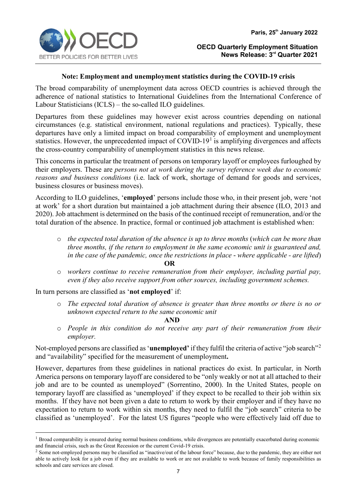

# **Note: Employment and unemployment statistics during the COVID-19 crisis**

The broad comparability of unemployment data across OECD countries is achieved through the adherence of national statistics to International Guidelines from the International Conference of Labour Statisticians (ICLS) – the so-called ILO guidelines.

Departures from these guidelines may however exist across countries depending on national circumstances (e.g. statistical environment, national regulations and practices). Typically, these departures have only a limited impact on broad comparability of employment and unemployment statistics. However, the unprecedented impact of COVID-[1](#page-6-0)9<sup>1</sup> is amplifying divergences and affects the cross-country comparability of unemployment statistics in this news release.

This concerns in particular the treatment of persons on temporary layoff or employees furloughed by their employers. These are *persons not at work during the survey reference week due to economic reasons and business conditions* (i.e. lack of work, shortage of demand for goods and services, business closures or business moves).

According to ILO guidelines, '**employed**' persons include those who, in their present job, were 'not at work' for a short duration but maintained a job attachment during their absence (ILO, 2013 and 2020). Job attachment is determined on the basis of the continued receipt of remuneration, and/or the total duration of the absence. In practice, formal or continued job attachment is established when:

- o *the expected total duration of the absence is up to three months* (*which can be more than three months, if the return to employment in the same economic unit is guaranteed and, in the case of the pandemic, once the restrictions in place* - *where applicable - are lifted*) **OR**
- o *workers continue to receive remuneration from their employer, including partial pay, even if they also receive support from other sources, including government schemes.*

In turn persons are classified as '**not employed**' if:

o *The expected total duration of absence is greater than three months or there is no or unknown expected return to the same economic unit* 

**AND** 

o *People in this condition do not receive any part of their remuneration from their employer.*

Not-employed persons are classified as '**unemployed'** if they fulfil the criteria of active "job search"[2](#page-6-1) and "availability" specified for the measurement of unemployment**.**

However, departures from these guidelines in national practices do exist. In particular, in North America persons on temporary layoff are considered to be "only weakly or not at all attached to their job and are to be counted as unemployed" (Sorrentino, 2000). In the United States, people on temporary layoff are classified as 'unemployed' if they expect to be recalled to their job within six months. If they have not been given a date to return to work by their employer and if they have no expectation to return to work within six months, they need to fulfil the "job search" criteria to be classified as 'unemployed'. For the latest US figures "people who were effectively laid off due to

<span id="page-6-0"></span><sup>&</sup>lt;sup>1</sup> Broad comparability is ensured during normal business conditions, while divergences are potentially exacerbated during economic and financial crisis, such as the Great Recession or the current Covid-19 crisis.

<span id="page-6-1"></span><sup>&</sup>lt;sup>2</sup> Some not-employed persons may be classified as "inactive/out of the labour force" because, due to the pandemic, they are either not able to actively look for a job even if they are available to work or are not available to work because of family responsibilities as schools and care services are closed.